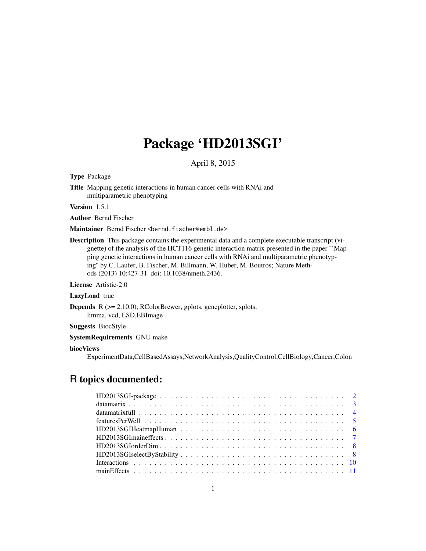## Package 'HD2013SGI'

April 8, 2015

<span id="page-0-0"></span>Type Package

Title Mapping genetic interactions in human cancer cells with RNAi and multiparametric phenotyping

Version 1.5.1

Author Bernd Fischer

Maintainer Bernd Fischer <br/>bernd.fischer@embl.de>

Description This package contains the experimental data and a complete executable transcript (vignette) of the analysis of the HCT116 genetic interaction matrix presented in the paper ``Mapping genetic interactions in human cancer cells with RNAi and multiparametric phenotyping'' by C. Laufer, B. Fischer, M. Billmann, W. Huber, M. Boutros; Nature Methods (2013) 10:427-31. doi: 10.1038/nmeth.2436.

License Artistic-2.0

#### LazyLoad true

Depends R (>= 2.10.0), RColorBrewer, gplots, geneplotter, splots, limma, vcd, LSD,EBImage

### Suggests BiocStyle

SystemRequirements GNU make

### biocViews

ExperimentData,CellBasedAssays,NetworkAnalysis,QualityControl,CellBiology,Cancer,Colon

## R topics documented: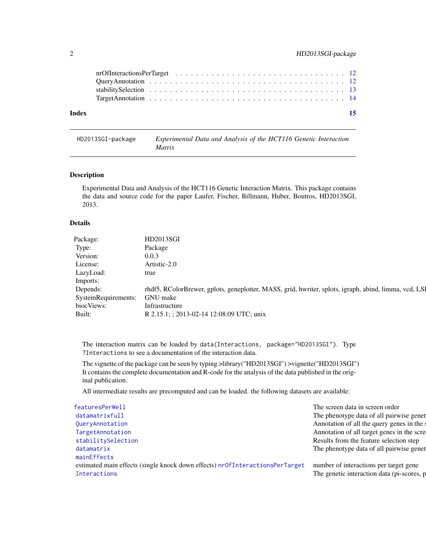<span id="page-1-0"></span>

| Index |  |  |  |  |  |  |  |  |  |  |  |  |  |  |  | -15 |
|-------|--|--|--|--|--|--|--|--|--|--|--|--|--|--|--|-----|
|       |  |  |  |  |  |  |  |  |  |  |  |  |  |  |  |     |
|       |  |  |  |  |  |  |  |  |  |  |  |  |  |  |  |     |
|       |  |  |  |  |  |  |  |  |  |  |  |  |  |  |  |     |
|       |  |  |  |  |  |  |  |  |  |  |  |  |  |  |  |     |

HD2013SGI-package *Experimental Data and Analysis of the HCT116 Genetic Interaction Matrix*

### <span id="page-1-1"></span>Description

Experimental Data and Analysis of the HCT116 Genetic Interaction Matrix. This package contains the data and source code for the paper Laufer, Fischer, Billmann, Huber, Boutros, HD2013SGI, 2013.

### Details

| HD2013SGI                                                                                             |
|-------------------------------------------------------------------------------------------------------|
| Package                                                                                               |
| 0.0.3                                                                                                 |
| Artistic-2.0                                                                                          |
| true                                                                                                  |
|                                                                                                       |
| rhdf5, RColorBrewer, gplots, geneplotter, MASS, grid, hwriter, splots, igraph, abind, limma, vcd, LSI |
| GNU make                                                                                              |
| Infrastructure                                                                                        |
| R 2.15.1; ; 2013-02-14 12:08:09 UTC; unix                                                             |
|                                                                                                       |

The interaction matrix can be loaded by data(Interactions, package="HD2013SGI"). Type ?Interactions to see a documentation of the interaction data.

The vignette of the package can be seen by typing >library("HD2013SGI") >vignette("HD2013SGI") It contains the complete documentation and R-code for the analysis of the data published in the original publication.

All intermediate results are precomputed and can be loaded. the following datasets are available:

| featuresPerWell                                                              | The screen data in screen order            |
|------------------------------------------------------------------------------|--------------------------------------------|
| datamatrixfull                                                               | The phenotype data of all pairwise genet   |
| QueryAnnotation                                                              | Annotation of all the query genes in the s |
| TargetAnnotation                                                             | Annotation of all target genes in the scre |
| stabilitySelection                                                           | Results from the feature selection step    |
| datamatrix                                                                   | The phenotype data of all pairwise genet   |
| mainEffects                                                                  |                                            |
| estimated main effects (single knock down effects) nrOfInteractionsPerTarget | number of interactions per target gene     |
| Interactions                                                                 | The genetic interaction data (pi-scores, p |
|                                                                              |                                            |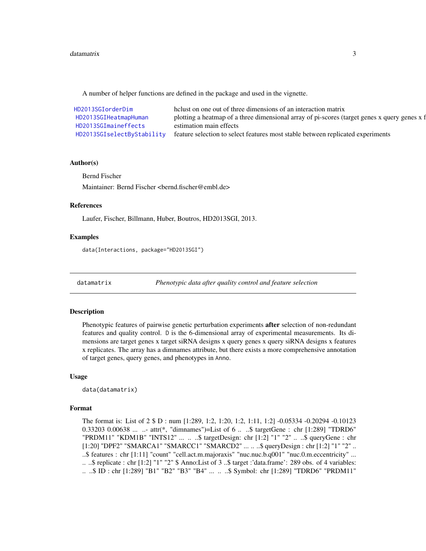### <span id="page-2-0"></span>datamatrix 3

A number of helper functions are defined in the package and used in the vignette.

| HD2013SGIorderDim          | helust on one out of three dimensions of an interaction matrix                               |
|----------------------------|----------------------------------------------------------------------------------------------|
| HD2013SGIHeatmapHuman      | plotting a heatmap of a three dimensional array of pi-scores (target genes x query genes x f |
| HD2013SGImaineffects       | estimation main effects                                                                      |
| HD2013SGIselectByStability | feature selection to select features most stable between replicated experiments              |

#### Author(s)

Bernd Fischer

Maintainer: Bernd Fischer <bernd.fischer@embl.de>

### References

Laufer, Fischer, Billmann, Huber, Boutros, HD2013SGI, 2013.

### Examples

data(Interactions, package="HD2013SGI")

<span id="page-2-1"></span>datamatrix *Phenotypic data after quality control and feature selection*

### Description

Phenotypic features of pairwise genetic perturbation experiments after selection of non-redundant features and quality control. D is the 6-dimensional array of experimental measurements. Its dimensions are target genes x target siRNA designs x query genes x query siRNA designs x features x replicates. The array has a dimnames attribute, but there exists a more comprehensive annotation of target genes, query genes, and phenotypes in Anno.

### Usage

data(datamatrix)

### Format

The format is: List of 2 \$ D : num [1:289, 1:2, 1:20, 1:2, 1:11, 1:2] -0.05334 -0.20294 -0.10123 0.33203 0.00638 ... ..- attr(\*, "dimnames")=List of 6 .. ..\$ targetGene : chr [1:289] "TDRD6" "PRDM11" "KDM1B" "INTS12" ... .. ..\$ targetDesign: chr [1:2] "1" "2" .. ..\$ queryGene : chr [1:20] "DPF2" "SMARCA1" "SMARCC1" "SMARCD2" ... .. ..\$ queryDesign : chr [1:2] "1" "2" .. ..\$ features : chr [1:11] "count" "cell.act.m.majoraxis" "nuc.nuc.b.q001" "nuc.0.m.eccentricity" ... .. ..\$ replicate : chr [1:2] "1" "2" \$ Anno:List of 3 ..\$ target :'data.frame': 289 obs. of 4 variables: .. ..\$ ID : chr [1:289] "B1" "B2" "B3" "B4" ... .. ..\$ Symbol: chr [1:289] "TDRD6" "PRDM11"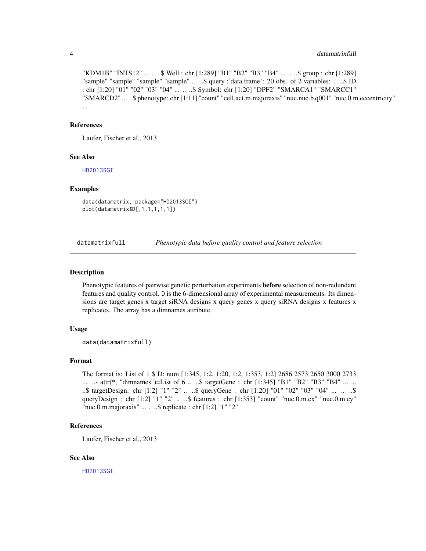"KDM1B" "INTS12" ... .. ..\$ Well : chr [1:289] "B1" "B2" "B3" "B4" ... .. ..\$ group : chr [1:289] "sample" "sample" "sample" "sample" ... ..\$ query :'data.frame': 20 obs. of 2 variables: ... .\$ ID : chr [1:20] "01" "02" "03" "04" ... .. ..\$ Symbol: chr [1:20] "DPF2" "SMARCA1" "SMARCC1" "SMARCD2" ... ..\$ phenotype: chr [1:11] "count" "cell.act.m.majoraxis" "nuc.nuc.b.q001" "nuc.0.m.eccentricity" ...

### References

Laufer, Fischer et al., 2013

### See Also

[HD2013SGI](#page-1-1)

### Examples

```
data(datamatrix, package="HD2013SGI")
plot(datamatrix$D[,1,1,1,1,1])
```
<span id="page-3-1"></span>datamatrixfull *Phenotypic data before quality control and feature selection*

#### Description

Phenotypic features of pairwise genetic perturbation experiments before selection of non-redundant features and quality control. D is the 6-dimensional array of experimental measurements. Its dimensions are target genes x target siRNA designs x query genes x query siRNA designs x features x replicates. The array has a dimnames attribute.

### Usage

```
data(datamatrixfull)
```
### Format

```
The format is: List of 1 $ D: num [1:345, 1:2, 1:20, 1:2, 1:353, 1:2] 2686 2573 2650 3000 2733
... ..- attr(*, "dimnames")=List of 6 .. ..$ targetGene : chr [1:345] "B1" "B2" "B3" "B4" ... ..
..$ targetDesign: chr [1:2] "1" "2" ... ..$ queryGene : chr [1:20] "01" "02" "03" "04" ... .. ..$
queryDesign : chr [1:2] "1" "2" .. ..$ features : chr [1:353] "count" "nuc.0.m.cx" "nuc.0.m.cy"
"nuc.0.m.majoraxis" ... .. ..$ replicate : chr [1:2] "1" "2"
```
### References

Laufer, Fischer et al., 2013

### See Also

<span id="page-3-0"></span>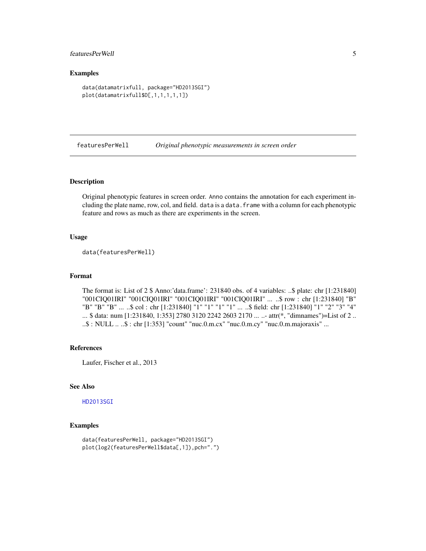### <span id="page-4-0"></span>featuresPerWell 5

### Examples

```
data(datamatrixfull, package="HD2013SGI")
plot(datamatrixfull$D[,1,1,1,1,1])
```
<span id="page-4-1"></span>featuresPerWell *Original phenotypic measurements in screen order*

### Description

Original phenotypic features in screen order. Anno contains the annotation for each experiment including the plate name, row, col, and field. data is a data.frame with a column for each phenotypic feature and rows as much as there are experiments in the screen.

### Usage

```
data(featuresPerWell)
```
### Format

The format is: List of 2 \$ Anno:'data.frame': 231840 obs. of 4 variables: ..\$ plate: chr [1:231840] "001CIQ01IRI" "001CIQ01IRI" "001CIQ01IRI" "001CIQ01IRI" ... ..\$ row : chr [1:231840] "B" "B" "B" "B" ... ..\$ col : chr [1:231840] "1" "1" "1" "1" ... ..\$ field: chr [1:231840] "1" "2" "3" "4" ... \$ data: num [1:231840, 1:353] 2780 3120 2242 2603 2170 ... ..- attr(\*, "dimnames")=List of 2 .. ..\$ : NULL .. ..\$ : chr [1:353] "count" "nuc.0.m.cx" "nuc.0.m.cy" "nuc.0.m.majoraxis" ...

### References

Laufer, Fischer et al., 2013

### See Also

### [HD2013SGI](#page-1-1)

### Examples

```
data(featuresPerWell, package="HD2013SGI")
plot(log2(featuresPerWell$data[,1]),pch=".")
```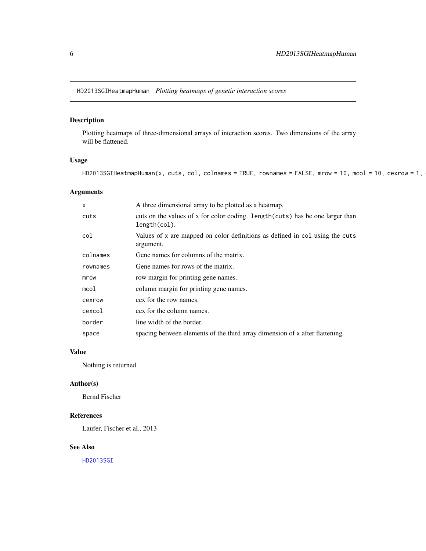<span id="page-5-1"></span><span id="page-5-0"></span>HD2013SGIHeatmapHuman *Plotting heatmaps of genetic interaction scores*

### Description

Plotting heatmaps of three-dimensional arrays of interaction scores. Two dimensions of the array will be flattened.

### Usage

 $HD2013SGI}$ HeatmapHuman(x, cuts, col, colnames = TRUE, rownames = FALSE, mrow = 10, mcol = 10, cexrow = 1,

### Arguments

| X        | A three dimensional array to be plotted as a heatmap.                                          |
|----------|------------------------------------------------------------------------------------------------|
| cuts     | cuts on the values of x for color coding. length (cuts) has be one larger than<br>length(col). |
| col      | Values of x are mapped on color definitions as defined in col using the cuts<br>argument.      |
| colnames | Gene names for columns of the matrix.                                                          |
| rownames | Gene names for rows of the matrix.                                                             |
| mrow     | row margin for printing gene names                                                             |
| mcol     | column margin for printing gene names.                                                         |
| cexrow   | cex for the row names.                                                                         |
| cexcol   | cex for the column names.                                                                      |
| border   | line width of the border.                                                                      |
| space    | spacing between elements of the third array dimension of x after flattening.                   |

### Value

Nothing is returned.

### Author(s)

Bernd Fischer

### References

Laufer, Fischer et al., 2013

### See Also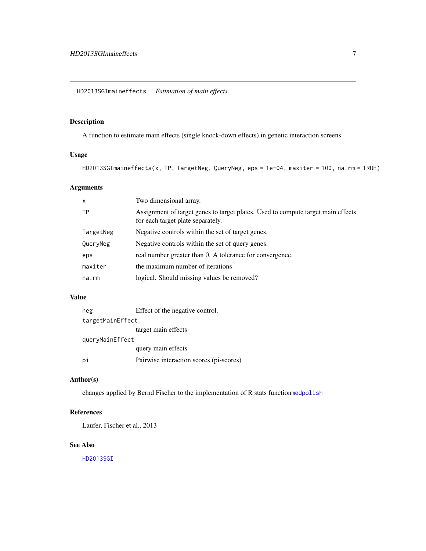### <span id="page-6-1"></span><span id="page-6-0"></span>Description

A function to estimate main effects (single knock-down effects) in genetic interaction screens.

### Usage

HD2013SGImaineffects(x, TP, TargetNeg, QueryNeg, eps = 1e-04, maxiter = 100, na.rm = TRUE)

### Arguments

| $\mathsf{x}$ | Two dimensional array.                                                                                                |
|--------------|-----------------------------------------------------------------------------------------------------------------------|
| <b>TP</b>    | Assignment of target genes to target plates. Used to compute target main effects<br>for each target plate separately. |
| TargetNeg    | Negative controls within the set of target genes.                                                                     |
| QueryNeg     | Negative controls within the set of query genes.                                                                      |
| eps          | real number greater than 0. A tolerance for convergence.                                                              |
| maxiter      | the maximum number of iterations                                                                                      |
| $na$ . $rm$  | logical. Should missing values be removed?                                                                            |
|              |                                                                                                                       |

### Value

| neg              | Effect of the negative control.         |  |  |  |  |  |  |
|------------------|-----------------------------------------|--|--|--|--|--|--|
| targetMainEffect |                                         |  |  |  |  |  |  |
|                  | target main effects                     |  |  |  |  |  |  |
| queryMainEffect  |                                         |  |  |  |  |  |  |
|                  | query main effects                      |  |  |  |  |  |  |
| рi               | Pairwise interaction scores (pi-scores) |  |  |  |  |  |  |

### Author(s)

changes applied by Bernd Fischer to the implementation of R stats function[medpolish](#page-0-0)

### References

Laufer, Fischer et al., 2013

### See Also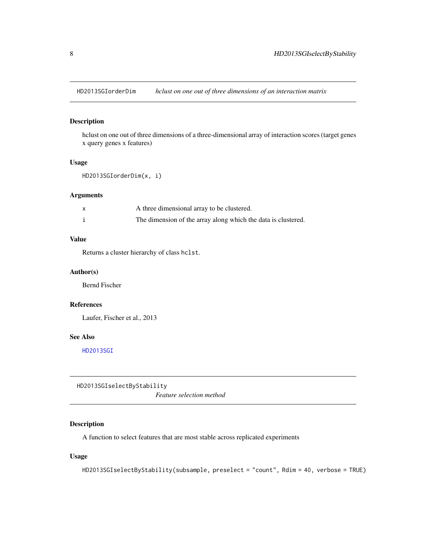<span id="page-7-1"></span><span id="page-7-0"></span>HD2013SGIorderDim *hclust on one out of three dimensions of an interaction matrix*

### Description

hclust on one out of three dimensions of a three-dimensional array of interaction scores (target genes x query genes x features)

### Usage

```
HD2013SGIorderDim(x, i)
```
### Arguments

| A three dimensional array to be clustered.                    |
|---------------------------------------------------------------|
| The dimension of the array along which the data is clustered. |

### Value

Returns a cluster hierarchy of class hclst.

### Author(s)

Bernd Fischer

### References

Laufer, Fischer et al., 2013

### See Also

[HD2013SGI](#page-1-1)

<span id="page-7-2"></span>HD2013SGIselectByStability

*Feature selection method*

### Description

A function to select features that are most stable across replicated experiments

### Usage

```
HD2013SGIselectByStability(subsample, preselect = "count", Rdim = 40, verbose = TRUE)
```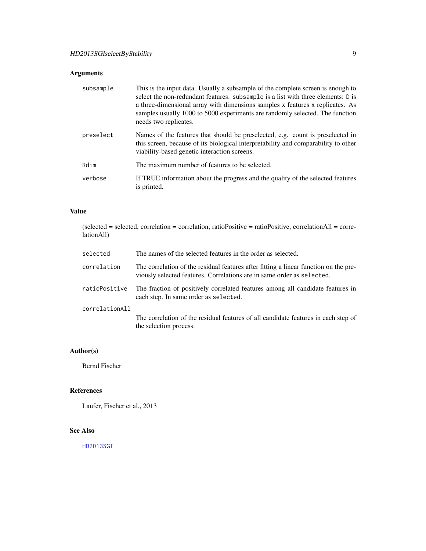### Arguments

| subsample | This is the input data. Usually a subsample of the complete screen is enough to<br>select the non-redundant features. subsample is a list with three elements: D is<br>a three-dimensional array with dimensions samples x features x replicates. As<br>samples usually 1000 to 5000 experiments are randomly selected. The function<br>needs two replicates. |
|-----------|---------------------------------------------------------------------------------------------------------------------------------------------------------------------------------------------------------------------------------------------------------------------------------------------------------------------------------------------------------------|
| preselect | Names of the features that should be preselected, e.g. count is preselected in<br>this screen, because of its biological interpretability and comparability to other<br>viability-based genetic interaction screens.                                                                                                                                          |
| Rdim      | The maximum number of features to be selected.                                                                                                                                                                                                                                                                                                                |
| verbose   | If TRUE information about the progress and the quality of the selected features<br>is printed.                                                                                                                                                                                                                                                                |

### Value

| lationAll)     | $(selected = selected, correlation = correlation, ratioPositive = ratioPositive, correlationAll = corre-$                                                      |
|----------------|----------------------------------------------------------------------------------------------------------------------------------------------------------------|
| selected       | The names of the selected features in the order as selected.                                                                                                   |
| correlation    | The correlation of the residual features after fitting a linear function on the pre-<br>viously selected features. Correlations are in same order as selected. |
| ratioPositive  | The fraction of positively correlated features among all candidate features in<br>each step. In same order as selected.                                        |
| correlationAll | The correlation of the residual features of all candidate features in each step of<br>the selection process.                                                   |

### Author(s)

Bernd Fischer

### References

Laufer, Fischer et al., 2013

### See Also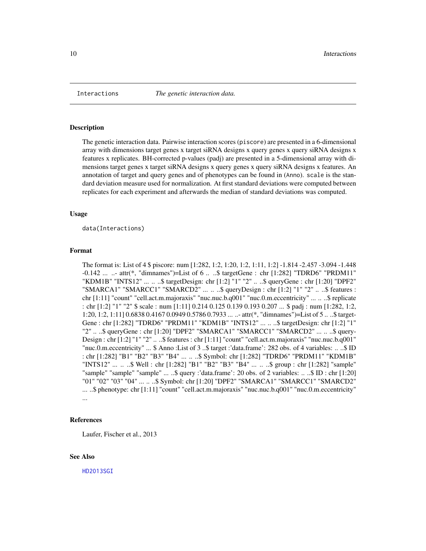<span id="page-9-1"></span><span id="page-9-0"></span>

#### **Description**

The genetic interaction data. Pairwise interaction scores (piscore) are presented in a 6-dimensional array with dimensions target genes x target siRNA designs x query genes x query siRNA designs x features x replicates. BH-corrected p-values (padj) are presented in a 5-dimensional array with dimensions target genes x target siRNA designs x query genes x query siRNA designs x features. An annotation of target and query genes and of phenotypes can be found in (Anno). scale is the standard deviation measure used for normalization. At first standard deviations were computed between replicates for each experiment and afterwards the median of standard deviations was computed.

### Usage

data(Interactions)

#### Format

The format is: List of 4 \$ piscore: num [1:282, 1:2, 1:20, 1:2, 1:11, 1:2] -1.814 -2.457 -3.094 -1.448 -0.142 ... ..- attr(\*, "dimnames")=List of 6 .. ..\$ targetGene : chr [1:282] "TDRD6" "PRDM11" "KDM1B" "INTS12" ... .. ..\$ targetDesign: chr [1:2] "1" "2" .. ..\$ queryGene : chr [1:20] "DPF2" "SMARCA1" "SMARCC1" "SMARCD2" ... .. ..\$ queryDesign : chr [1:2] "1" "2" .. ..\$ features : chr [1:11] "count" "cell.act.m.majoraxis" "nuc.nuc.b.q001" "nuc.0.m.eccentricity" ... .. ..\$ replicate : chr [1:2] "1" "2" \$ scale : num [1:11] 0.214 0.125 0.139 0.193 0.207 ... \$ padj : num [1:282, 1:2, 1:20, 1:2, 1:11] 0.6838 0.4167 0.0949 0.5786 0.7933 ... ..- attr(\*, "dimnames")=List of 5 .. ..\$ target-Gene : chr [1:282] "TDRD6" "PRDM11" "KDM1B" "INTS12" ... .. ..\$ targetDesign: chr [1:2] "1" "2" .. ..\$ queryGene : chr [1:20] "DPF2" "SMARCA1" "SMARCC1" "SMARCD2" ... .. ..\$ query-Design : chr [1:2] "1" "2" .. ..\$ features : chr [1:11] "count" "cell.act.m.majoraxis" "nuc.nuc.b.q001" "nuc.0.m.eccentricity" ... \$ Anno :List of 3 ..\$ target :'data.frame': 282 obs. of 4 variables: .. ..\$ ID : chr [1:282] "B1" "B2" "B3" "B4" ... .. ..\$ Symbol: chr [1:282] "TDRD6" "PRDM11" "KDM1B" "INTS12" ... .. ..\$ Well : chr [1:282] "B1" "B2" "B3" "B4" ... .. ..\$ group : chr [1:282] "sample" "sample" "sample" "sample" ... ..\$ query :'data.frame': 20 obs. of 2 variables: .. ..\$ ID : chr [1:20] "01" "02" "03" "04" ... .. ..\$ Symbol: chr [1:20] "DPF2" "SMARCA1" "SMARCC1" "SMARCD2" ... ..\$ phenotype: chr [1:11] "count" "cell.act.m.majoraxis" "nuc.nuc.b.q001" "nuc.0.m.eccentricity" ...

### References

Laufer, Fischer et al., 2013

### See Also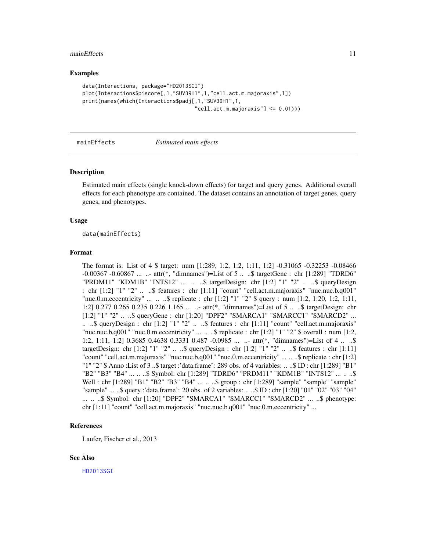### <span id="page-10-0"></span>mainEffects 11

### Examples

```
data(Interactions, package="HD2013SGI")
plot(Interactions$piscore[,1,"SUV39H1",1,"cell.act.m.majoraxis",1])
print(names(which(Interactions$padj[,1,"SUV39H1",1,
                                    "cell.act.m.majoraxis" ] \leq 0.01))
```
<span id="page-10-1"></span>

#### mainEffects *Estimated main effects*

### Description

Estimated main effects (single knock-down effects) for target and query genes. Additional overall effects for each phenotype are contained. The dataset contains an annotation of target genes, query genes, and phenotypes.

#### Usage

data(mainEffects)

### Format

The format is: List of 4 \$ target: num [1:289, 1:2, 1:2, 1:11, 1:2] -0.31065 -0.32253 -0.08466 -0.00367 -0.60867 ... ..- attr(\*, "dimnames")=List of 5 .. ..\$ targetGene : chr [1:289] "TDRD6" "PRDM11" "KDM1B" "INTS12" ... .. ..\$ targetDesign: chr [1:2] "1" "2" .. ..\$ queryDesign : chr [1:2] "1" "2" .. ..\$ features : chr [1:11] "count" "cell.act.m.majoraxis" "nuc.nuc.b.q001" "nuc.0.m.eccentricity" ... .. ..\$ replicate : chr [1:2] "1" "2" \$ query : num [1:2, 1:20, 1:2, 1:11, 1:2] 0.277 0.265 0.235 0.226 1.165 ... ..- attr(\*, "dimnames")=List of 5 .. ..\$ targetDesign: chr [1:2] "1" "2" .. ..\$ queryGene : chr [1:20] "DPF2" "SMARCA1" "SMARCC1" "SMARCD2" ... .. ..\$ queryDesign : chr  $[1:2]$  "1" "2" .. ..\$ features : chr  $[1:11]$  "count" "cell.act.m.majoraxis" "nuc.nuc.b.q001" "nuc.0.m.eccentricity" ...  $\ldots$   $\ddot{\text{.}}$  s replicate : chr [1:2] "1" "2"  $\text{\$ overall : num [1:2,]}$ 1:2, 1:11, 1:2] 0.3685 0.4638 0.3331 0.487 -0.0985 ... ..- attr(\*, "dimnames")=List of 4 .. ..\$ targetDesign: chr  $[1:2]$  "1" "2" .. ..\$ queryDesign : chr  $[1:2]$  "1" "2" .. ..\$ features : chr  $[1:11]$ "count" "cell.act.m.majoraxis" "nuc.nuc.b.q001" "nuc.0.m.eccentricity" ... .. ..\$ replicate : chr [1:2] "1" "2" \$ Anno :List of 3 ..\$ target :'data.frame': 289 obs. of 4 variables: .. ..\$ ID : chr [1:289] "B1" "B2" "B3" "B4" ... .. ..\$ Symbol: chr [1:289] "TDRD6" "PRDM11" "KDM1B" "INTS12" ... .. ..\$ Well : chr [1:289] "B1" "B2" "B3" "B4" ... .. ..\$ group : chr [1:289] "sample" "sample" "sample" "sample" ... ..\$ query :'data.frame': 20 obs. of 2 variables: .. ..\$ ID : chr [1:20] "01" "02" "03" "04"  $\ldots$   $\ldots$   $\ddot{\text{s}}$  Symbol: chr [1:20] "DPF2" "SMARCA1" "SMARCC1" "SMARCD2"  $\ldots$   $\ddot{\text{s}}$  phenotype: chr [1:11] "count" "cell.act.m.majoraxis" "nuc.nuc.b.q001" "nuc.0.m.eccentricity" ...

### References

Laufer, Fischer et al., 2013

### See Also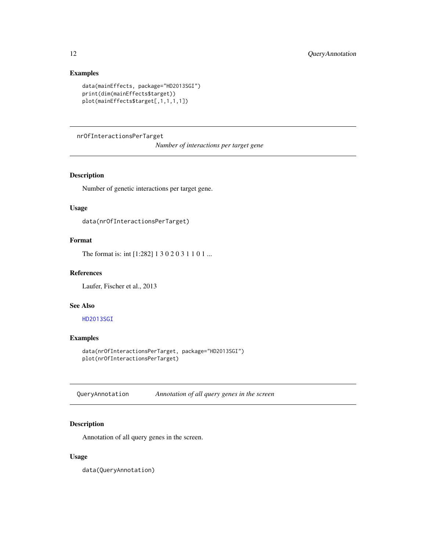### Examples

```
data(mainEffects, package="HD2013SGI")
print(dim(mainEffects$target))
plot(mainEffects$target[,1,1,1,1])
```
<span id="page-11-2"></span>nrOfInteractionsPerTarget

*Number of interactions per target gene*

### Description

Number of genetic interactions per target gene.

### Usage

data(nrOfInteractionsPerTarget)

### Format

The format is: int [1:282] 1 3 0 2 0 3 1 1 0 1 ...

### References

Laufer, Fischer et al., 2013

### See Also

### [HD2013SGI](#page-1-1)

### Examples

data(nrOfInteractionsPerTarget, package="HD2013SGI") plot(nrOfInteractionsPerTarget)

<span id="page-11-1"></span>QueryAnnotation *Annotation of all query genes in the screen*

### Description

Annotation of all query genes in the screen.

### Usage

data(QueryAnnotation)

<span id="page-11-0"></span>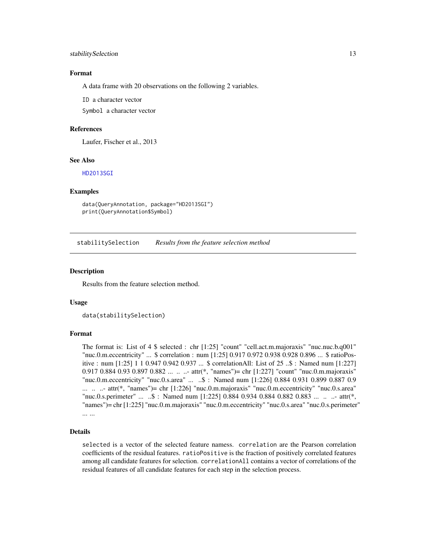### <span id="page-12-0"></span>stabilitySelection 13

### Format

A data frame with 20 observations on the following 2 variables.

ID a character vector

Symbol a character vector

### References

Laufer, Fischer et al., 2013

### See Also

[HD2013SGI](#page-1-1)

### Examples

```
data(QueryAnnotation, package="HD2013SGI")
print(QueryAnnotation$Symbol)
```
<span id="page-12-1"></span>stabilitySelection *Results from the feature selection method*

#### **Description**

Results from the feature selection method.

### Usage

data(stabilitySelection)

#### Format

The format is: List of 4 \$ selected : chr [1:25] "count" "cell.act.m.majoraxis" "nuc.nuc.b.q001" "nuc.0.m.eccentricity" ... \$ correlation : num [1:25] 0.917 0.972 0.938 0.928 0.896 ... \$ ratioPositive : num [1:25] 1 1 0.947 0.942 0.937 ... \$ correlationAll: List of 25 ..\$ : Named num [1:227] 0.917 0.884 0.93 0.897 0.882 ... .. ..- attr(\*, "names")= chr [1:227] "count" "nuc.0.m.majoraxis" "nuc.0.m.eccentricity" "nuc.0.s.area" ... ..\$ : Named num [1:226] 0.884 0.931 0.899 0.887 0.9  $\ldots$   $\ldots$  - attr(\*, "names")= chr [1:226] "nuc.0.m.majoraxis" "nuc.0.m.eccentricity" "nuc.0.s.area" "nuc.0.s.perimeter" ... ..\$ : Named num [1:225] 0.884 0.934 0.884 0.882 0.883 ... .. ..- attr(\*, "names")= chr [1:225] "nuc.0.m.majoraxis" "nuc.0.m.eccentricity" "nuc.0.s.area" "nuc.0.s.perimeter" ... ...

### Details

selected is a vector of the selected feature namess. correlation are the Pearson correlation coefficients of the residual features. ratioPositive is the fraction of positively correlated features among all candidate features for selection. correlationAll contains a vector of correlations of the residual features of all candidate features for each step in the selection process.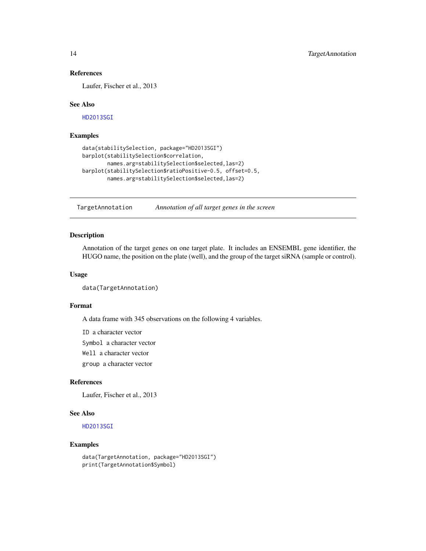### References

Laufer, Fischer et al., 2013

### See Also

[HD2013SGI](#page-1-1)

### Examples

```
data(stabilitySelection, package="HD2013SGI")
barplot(stabilitySelection$correlation,
       names.arg=stabilitySelection$selected,las=2)
barplot(stabilitySelection$ratioPositive-0.5, offset=0.5,
       names.arg=stabilitySelection$selected,las=2)
```
<span id="page-13-1"></span>TargetAnnotation *Annotation of all target genes in the screen*

### Description

Annotation of the target genes on one target plate. It includes an ENSEMBL gene identifier, the HUGO name, the position on the plate (well), and the group of the target siRNA (sample or control).

### Usage

```
data(TargetAnnotation)
```
### Format

A data frame with 345 observations on the following 4 variables.

ID a character vector Symbol a character vector Well a character vector group a character vector

### References

Laufer, Fischer et al., 2013

### See Also

[HD2013SGI](#page-1-1)

### Examples

```
data(TargetAnnotation, package="HD2013SGI")
print(TargetAnnotation$Symbol)
```
<span id="page-13-0"></span>